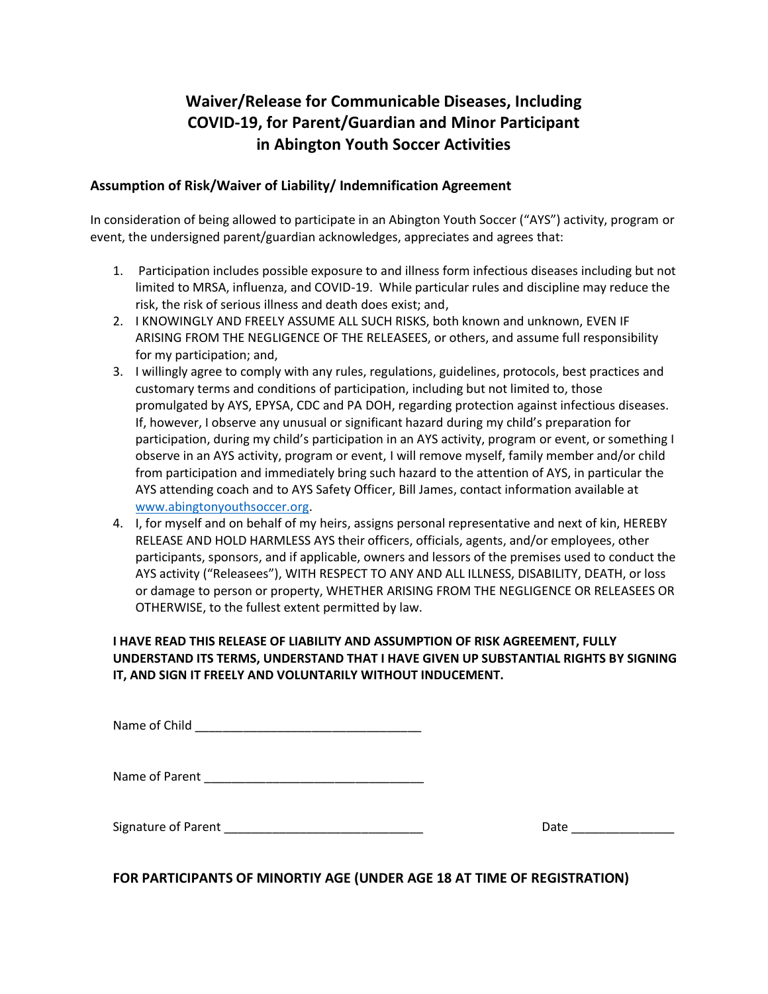## **Waiver/Release for Communicable Diseases, Including COVID-19, for Parent/Guardian and Minor Participant in Abington Youth Soccer Activities**

## **Assumption of Risk/Waiver of Liability/ Indemnification Agreement**

In consideration of being allowed to participate in an Abington Youth Soccer ("AYS") activity, program or event, the undersigned parent/guardian acknowledges, appreciates and agrees that:

- 1. Participation includes possible exposure to and illness form infectious diseases including but not limited to MRSA, influenza, and COVID-19. While particular rules and discipline may reduce the risk, the risk of serious illness and death does exist; and,
- 2. I KNOWINGLY AND FREELY ASSUME ALL SUCH RISKS, both known and unknown, EVEN IF ARISING FROM THE NEGLIGENCE OF THE RELEASEES, or others, and assume full responsibility for my participation; and,
- 3. I willingly agree to comply with any rules, regulations, guidelines, protocols, best practices and customary terms and conditions of participation, including but not limited to, those promulgated by AYS, EPYSA, CDC and PA DOH, regarding protection against infectious diseases. If, however, I observe any unusual or significant hazard during my child's preparation for participation, during my child's participation in an AYS activity, program or event, or something I observe in an AYS activity, program or event, I will remove myself, family member and/or child from participation and immediately bring such hazard to the attention of AYS, in particular the AYS attending coach and to AYS Safety Officer, Bill James, contact information available at [www.abingtonyouthsoccer.org.](http://www.abingtonyouthsoccer.org/)
- 4. I, for myself and on behalf of my heirs, assigns personal representative and next of kin, HEREBY RELEASE AND HOLD HARMLESS AYS their officers, officials, agents, and/or employees, other participants, sponsors, and if applicable, owners and lessors of the premises used to conduct the AYS activity ("Releasees"), WITH RESPECT TO ANY AND ALL ILLNESS, DISABILITY, DEATH, or loss or damage to person or property, WHETHER ARISING FROM THE NEGLIGENCE OR RELEASEES OR OTHERWISE, to the fullest extent permitted by law.

## **I HAVE READ THIS RELEASE OF LIABILITY AND ASSUMPTION OF RISK AGREEMENT, FULLY UNDERSTAND ITS TERMS, UNDERSTAND THAT I HAVE GIVEN UP SUBSTANTIAL RIGHTS BY SIGNING IT, AND SIGN IT FREELY AND VOLUNTARILY WITHOUT INDUCEMENT.**

Name of Child **Name** of Child

Name of Parent **Executive Server**  $\overline{a}$ 

Signature of Parent \_\_\_\_\_\_\_\_\_\_\_\_\_\_\_\_\_\_\_\_\_\_\_\_\_\_\_\_\_ Date \_\_\_\_\_\_\_\_\_\_\_\_\_\_\_

**FOR PARTICIPANTS OF MINORTIY AGE (UNDER AGE 18 AT TIME OF REGISTRATION)**